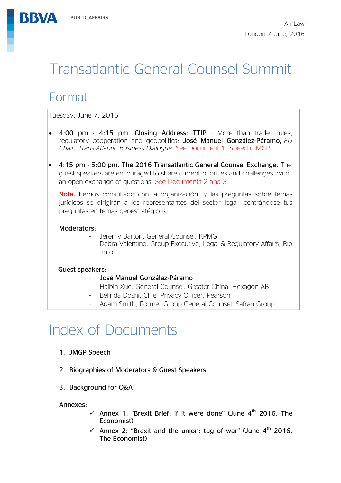# Transatlantic General Counsel Summit

# Format

**BBVA** 

Tuesday, June 7, 2016

- 4:00 pm 4:15 pm. Closing Address: TTIP More than trade: rules, regulatory cooperation and geopolitics: José Manuel González-Páramo*, EU Chair, Trans-Atlantic Business Dialogue.* See Document 1. Speech JMGP
- 4:15 pm 5:00 pm. The 2016 Transatlantic General Counsel Exchange. The guest speakers are encouraged to share current priorities and challenges, with an open exchange of questions. See Documents 2 and 3.

Nota: hemos consultado con la organización, y las preguntas sobre temas jurídicos se dirigirán a los representantes del sector legal, centrándose tus preguntas en temas geoestratégicos.

#### Moderators:

- Jeremy Barton, General Counsel, KPMG
- Debra Valentine, Group Executive, Legal & Requlatory Affairs, Rio Tinto

#### Guest speakers:

- José Manuel González-Páramo
- Haibin Xue, General Counsel, Greater China, Hexagon AB
- Belinda Doshi, Chief Privacy Officer, Pearson
- Adam Smith, Former Group General Counsel, Safran Group

# Index of Documents

- 1. JMGP Speech
- 2. Biographies of Moderators & Guest Speakers
- 3. Background for Q&A

Annexes:

- Annex 1: "Brexit Brief: if it were done" (June  $4<sup>th</sup>$  2016, The Economist)
- Annex 2: "Brexit and the union: tug of war" (June  $4<sup>th</sup>$  2016, The Economist)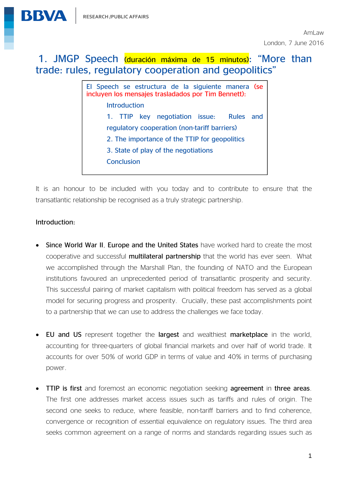

# 1. JMGP Speech (duración máxima de 15 minutos): "More than trade: rules, regulatory cooperation and geopolitics"

El Speech se estructura de la siguiente manera (se incluyen los mensajes trasladados por Tim Bennett): Introduction 1. TTIP key negotiation issue: Rules and regulatory cooperation (non-tariff barriers) 2. The importance of the TTIP for geopolitics 3. State of play of the negotiations Conclusion

It is an honour to be included with you today and to contribute to ensure that the transatlantic relationship be recognised as a truly strategic partnership.

#### Introduction:

Ξ

- Since World War II, Europe and the United States have worked hard to create the most cooperative and successful multilateral partnership that the world has ever seen. What we accomplished through the Marshall Plan, the founding of NATO and the European institutions favoured an unprecedented period of transatlantic prosperity and security. This successful pairing of market capitalism with political freedom has served as a global model for securing progress and prosperity. Crucially, these past accomplishments point to a partnership that we can use to address the challenges we face today.
- EU and US represent together the largest and wealthiest marketplace in the world, accounting for three-quarters of global financial markets and over half of world trade. It accounts for over 50% of world GDP in terms of value and 40% in terms of purchasing power.
- TTIP is first and foremost an economic negotiation seeking agreement in three areas. The first one addresses market access issues such as tariffs and rules of origin. The second one seeks to reduce, where feasible, non-tariff barriers and to find coherence, convergence or recognition of essential equivalence on regulatory issues. The third area seeks common agreement on a range of norms and standards regarding issues such as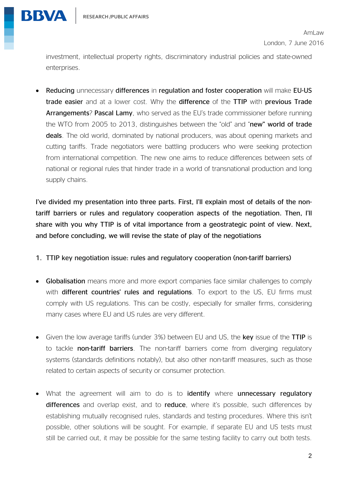

investment, intellectual property rights, discriminatory industrial policies and state-owned enterprises.

• Reducing unnecessary differences in regulation and foster cooperation will make EU-US trade easier and at a lower cost. Why the difference of the TTIP with previous Trade Arrangements? Pascal Lamy, who served as the EU's trade commissioner before running the WTO from 2005 to 2013, distinguishes between the "old" and "new" world of trade deals. The old world, dominated by national producers, was about opening markets and cutting tariffs. Trade negotiators were battling producers who were seeking protection from international competition. The new one aims to reduce differences between sets of national or regional rules that hinder trade in a world of transnational production and long supply chains.

I've divided my presentation into three parts. First, I'll explain most of details of the nontariff barriers or rules and regulatory cooperation aspects of the negotiation. Then, I'll share with you why TTIP is of vital importance from a geostrategic point of view. Next, and before concluding, we will revise the state of play of the negotiations

- 1. TTIP key negotiation issue: rules and regulatory cooperation (non-tariff barriers)
- Globalisation means more and more export companies face similar challenges to comply with different countries' rules and regulations. To export to the US, EU firms must comply with US regulations. This can be costly, especially for smaller firms, considering many cases where EU and US rules are very different.
- Given the low average tariffs (under 3%) between EU and US, the key issue of the TTIP is to tackle non-tariff barriers. The non-tariff barriers come from diverging regulatory systems (standards definitions notably), but also other non-tariff measures, such as those related to certain aspects of security or consumer protection.
- What the agreement will aim to do is to identify where unnecessary regulatory differences and overlap exist, and to reduce, where it's possible, such differences by establishing mutually recognised rules, standards and testing procedures. Where this isn't possible, other solutions will be sought. For example, if separate EU and US tests must still be carried out, it may be possible for the same testing facility to carry out both tests.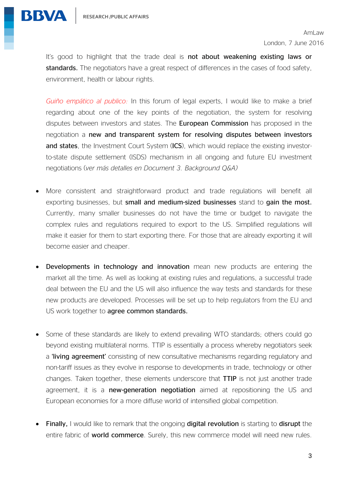

It's good to highlight that the trade deal is not about weakening existing laws or standards. The negotiators have a great respect of differences in the cases of food safety, environment, health or labour rights.

*Guiño empático al publico:* In this forum of legal experts, I would like to make a brief regarding about one of the key points of the negotiation, the system for resolving disputes between investors and states. The European Commission has proposed in the negotiation a new and transparent system for resolving disputes between investors and states, the Investment Court System (ICS), which would replace the existing investorto-state dispute settlement (ISDS) mechanism in all ongoing and future EU investment negotiations (*ver más detalles en Document 3. Background Q&A)*

- More consistent and straightforward product and trade regulations will benefit all exporting businesses, but small and medium-sized businesses stand to gain the most. Currently, many smaller businesses do not have the time or budget to navigate the complex rules and regulations required to export to the US. Simplified regulations will make it easier for them to start exporting there. For those that are already exporting it will become easier and cheaper.
- Developments in technology and innovation mean new products are entering the market all the time. As well as looking at existing rules and regulations, a successful trade deal between the EU and the US will also influence the way tests and standards for these new products are developed. Processes will be set up to help regulators from the EU and US work together to agree common standards.
- Some of these standards are likely to extend prevailing WTO standards; others could go beyond existing multilateral norms. TTIP is essentially a process whereby negotiators seek a **'living agreement'** consisting of new consultative mechanisms regarding regulatory and non-tariff issues as they evolve in response to developments in trade, technology or other changes. Taken together, these elements underscore that TTIP is not just another trade agreement, it is a new-generation negotiation aimed at repositioning the US and European economies for a more diffuse world of intensified global competition.
- Finally, I would like to remark that the ongoing digital revolution is starting to disrupt the entire fabric of **world commerce**. Surely, this new commerce model will need new rules.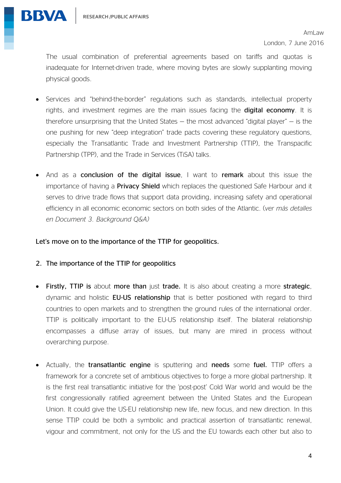

The usual combination of preferential agreements based on tariffs and quotas is inadequate for Internet-driven trade, where moving bytes are slowly supplanting moving physical goods.

- Services and "behind-the-border" regulations such as standards, intellectual property rights, and investment regimes are the main issues facing the **digital economy**. It is therefore unsurprising that the United States  $-$  the most advanced "digital player"  $-$  is the one pushing for new "deep integration" trade pacts covering these regulatory questions, especially the Transatlantic Trade and Investment Partnership (TTIP), the Transpacific Partnership (TPP), and the Trade in Services (TiSA) talks.
- And as a conclusion of the digital issue, I want to remark about this issue the importance of having a **Privacy Shield** which replaces the questioned Safe Harbour and it serves to drive trade flows that support data providing, increasing safety and operational efficiency in all economic economic sectors on both sides of the Atlantic. (*ver más detalles en Document 3. Background Q&A)*

#### Let's move on to the importance of the TTIP for geopolitics.

- 2. The importance of the TTIP for geopolitics
- Firstly, TTIP is about more than just trade. It is also about creating a more strategic, dynamic and holistic EU-US relationship that is better positioned with regard to third countries to open markets and to strengthen the ground rules of the international order. TTIP is politically important to the EU-US relationship itself. The bilateral relationship encompasses a diffuse array of issues, but many are mired in process without overarching purpose.
- Actually, the transatlantic engine is sputtering and needs some fuel. TTIP offers a framework for a concrete set of ambitious objectives to forge a more global partnership. It is the first real transatlantic initiative for the 'post-post' Cold War world and would be the first congressionally ratified agreement between the United States and the European Union. It could give the US-EU relationship new life, new focus, and new direction. In this sense TTIP could be both a symbolic and practical assertion of transatlantic renewal, vigour and commitment, not only for the US and the EU towards each other but also to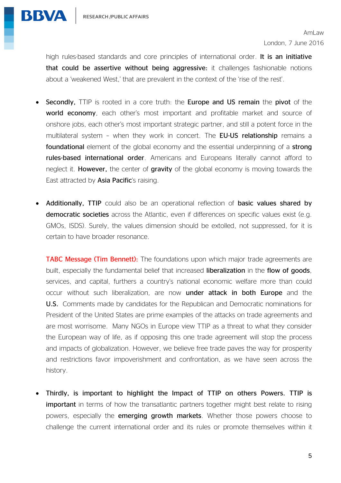

high rules-based standards and core principles of international order. It is an initiative that could be assertive without being aggressive: it challenges fashionable notions about a 'weakened West,' that are prevalent in the context of the 'rise of the rest'.

- Secondly, TTIP is rooted in a core truth: the Europe and US remain the pivot of the world economy, each other's most important and profitable market and source of onshore jobs, each other's most important strategic partner, and still a potent force in the multilateral system - when they work in concert. The EU-US relationship remains a foundational element of the global economy and the essential underpinning of a strong rules-based international order. Americans and Europeans literally cannot afford to neglect it. **However,** the center of **gravity** of the global economy is moving towards the East attracted by **Asia Pacific's** raising.
- Additionally, TTIP could also be an operational reflection of basic values shared by democratic societies across the Atlantic, even if differences on specific values exist (e.g. GMOs, ISDS). Surely, the values dimension should be extolled, not suppressed, for it is certain to have broader resonance.

**TABC Message (Tim Bennett):** The foundations upon which major trade agreements are built, especially the fundamental belief that increased **liberalization** in the **flow of goods**, services, and capital, furthers a country's national economic welfare more than could occur without such liberalization, are now under attack in both Europe and the U.S. Comments made by candidates for the Republican and Democratic nominations for President of the United States are prime examples of the attacks on trade agreements and are most worrisome. Many NGOs in Europe view TTIP as a threat to what they consider the European way of life, as if opposing this one trade agreement will stop the process and impacts of globalization. However, we believe free trade paves the way for prosperity and restrictions favor impoverishment and confrontation, as we have seen across the history.

 Thirdly, is important to highlight the Impact of TTIP on others Powers. TTIP is important in terms of how the transatlantic partners together might best relate to rising powers, especially the emerging growth markets. Whether those powers choose to challenge the current international order and its rules or promote themselves within it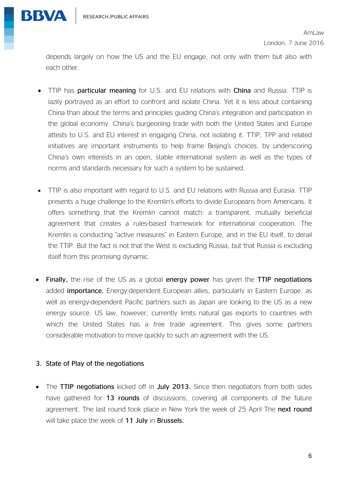

depends largely on how the US and the EU engage, not only with them but also with each other.

- TTIP has particular meaning for U.S. and EU relations with China and Russia. TTIP is lazily portrayed as an effort to confront and isolate China. Yet it is less about containing China than about the terms and principles guiding China's integration and participation in the global economy. China's burgeoning trade with both the United States and Europe attests to U.S. and EU interest in engaging China, not isolating it. TTIP, TPP and related initiatives are important instruments to help frame Beijing's choices, by underscoring China's own interests in an open, stable international system as well as the types of norms and standards necessary for such a system to be sustained.
- TTIP is also important with regard to U.S. and EU relations with Russia and Eurasia. TTIP presents a huge challenge to the Kremlin's efforts to divide Europeans from Americans. It offers something that the Kremlin cannot match: a transparent, mutually beneficial agreement that creates a rules-based framework for international cooperation. The Kremlin is conducting "active measures" in Eastern Europe, and in the EU itself, to derail the TTIP. But the fact is not that the West is excluding Russia, but that Russia is excluding itself from this promising dynamic.
- Finally, the rise of the US as a global energy power has given the TTIP negotiations added **importance.** Energy-dependent European allies, particularly in Eastern Europe, as well as energy-dependent Pacific partners such as Japan are looking to the US as a new energy source. US law, however, currently limits natural gas exports to countries with which the United States has a free trade agreement. This gives some partners considerable motivation to move quickly to such an agreement with the US.

#### 3. State of Play of the negotiations

• The TTIP negotiations kicked off in July 2013. Since then negotiators from both sides have gathered for 13 rounds of discussions, covering all components of the future agreement. The last round took place in New York the week of 25 April The next round will take place the week of 11 July in Brussels.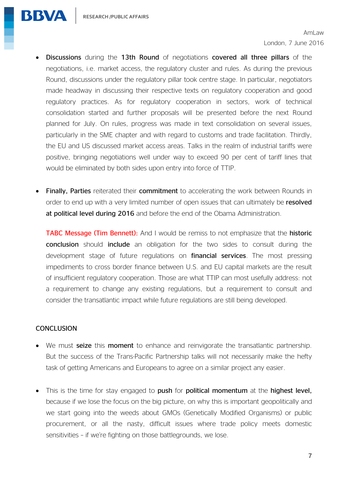

- Discussions during the 13th Round of negotiations covered all three pillars of the negotiations, i.e. market access, the regulatory cluster and rules. As during the previous Round, discussions under the regulatory pillar took centre stage. In particular, negotiators made headway in discussing their respective texts on regulatory cooperation and good regulatory practices. As for regulatory cooperation in sectors, work of technical consolidation started and further proposals will be presented before the next Round planned for July. On rules, progress was made in text consolidation on several issues, particularly in the SME chapter and with regard to customs and trade facilitation. Thirdly, the EU and US discussed market access areas. Talks in the realm of industrial tariffs were positive, bringing negotiations well under way to exceed 90 per cent of tariff lines that would be eliminated by both sides upon entry into force of TTIP.
- Finally, Parties reiterated their commitment to accelerating the work between Rounds in order to end up with a very limited number of open issues that can ultimately be resolved at political level during 2016 and before the end of the Obama Administration.

TABC Message (Tim Bennett): And I would be remiss to not emphasize that the historic conclusion should include an obligation for the two sides to consult during the development stage of future regulations on **financial services**. The most pressing impediments to cross border finance between U.S. and EU capital markets are the result of insufficient regulatory cooperation. Those are what TTIP can most usefully address: not a requirement to change any existing regulations, but a requirement to consult and consider the transatlantic impact while future regulations are still being developed.

#### **CONCLUSION**

- We must seize this moment to enhance and reinvigorate the transatlantic partnership. But the success of the Trans-Pacific Partnership talks will not necessarily make the hefty task of getting Americans and Europeans to agree on a similar project any easier.
- This is the time for stay engaged to push for political momentum at the highest level, because if we lose the focus on the big picture, on why this is important geopolitically and we start going into the weeds about GMOs (Genetically Modified Organisms) or public procurement, or all the nasty, difficult issues where trade policy meets domestic sensitivities – if we're fighting on those battlegrounds, we lose.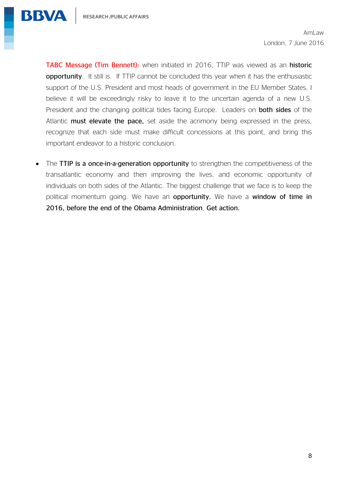

TABC Message (Tim Bennett): when initiated in 2016, TTIP was viewed as an historic opportunity. It still is. If TTIP cannot be concluded this year when it has the enthusiastic support of the U.S. President and most heads of government in the EU Member States, I believe it will be exceedingly risky to leave it to the uncertain agenda of a new U.S. President and the changing political tides facing Europe. Leaders on **both sides** of the Atlantic must elevate the pace, set aside the acrimony being expressed in the press, recognize that each side must make difficult concessions at this point, and bring this important endeavor to a historic conclusion.

• The TTIP is a once-in-a-generation opportunity to strengthen the competitiveness of the transatlantic economy and then improving the lives, and economic opportunity of individuals on both sides of the Atlantic. The biggest challenge that we face is to keep the political momentum going. We have an opportunity. We have a window of time in 2016, before the end of the Obama Administration, Get action.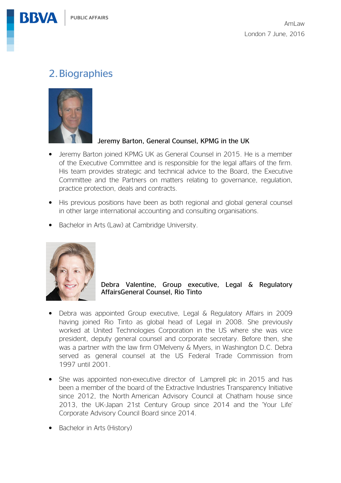# 2.Biographies



#### Jeremy Barton, General Counsel, KPMG in the UK

- Jeremy Barton joined KPMG UK as General Counsel in 2015. He is a member of the Executive Committee and is responsible for the legal affairs of the firm. His team provides strategic and technical advice to the Board, the Executive Committee and the Partners on matters relating to governance, regulation, practice protection, deals and contracts.
- His previous positions have been as both regional and global general counsel in other large international accounting and consulting organisations.
- Bachelor in Arts (Law) at Cambridge University.



Debra Valentine, Group executive, Legal & Regulatory AffairsGeneral Counsel, Rio Tinto

- Debra was appointed Group executive, Legal & Regulatory Affairs in 2009 having joined Rio Tinto as global head of Legal in 2008. She previously worked at United Technologies Corporation in the US where she was vice president, deputy general counsel and corporate secretary. Before then, she was a partner with the law firm O'Melveny & Myers, in Washington D.C. Debra served as general counsel at the US Federal Trade Commission from 1997 until 2001.
- She was appointed non-executive director of Lamprell plc in 2015 and has been a member of the board of the Extractive Industries Transparency Initiative since 2012, the North American Advisory Council at Chatham house since 2013, the UK-Japan 21st Century Group since 2014 and the 'Your Life' Corporate Advisory Council Board since 2014.
- Bachelor in Arts (History)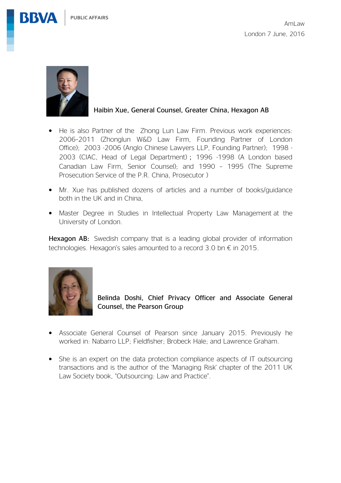PUBLIC AFFAIRS





**BBVA** 

#### Haibin Xue, General Counsel, Greater China, Hexagon AB

- He is also Partner of the Zhong Lun Law Firm. Previous work experiences: 2006–2011 (Zhonglun W&D Law Firm, Founding Partner of London Office); 2003 -2006 (Anglo Chinese Lawyers LLP, Founding Partner); 1998 - 2003 (CIAC, Head of Legal Department); 1996 -1998 (A London based Canadian Law Firm, Senior Counsel); and 1990 – 1995 (The Supreme Prosecution Service of the P.R. China, Prosecutor )
- Mr. Xue has published dozens of articles and a number of books/guidance both in the UK and in China,
- Master Degree in Studies in Intellectual Property Law Management at the University of London.

Hexagon AB: Swedish company that is a leading global provider of information technologies. Hexagon's sales amounted to a record 3.0 bn  $\epsilon$  in 2015.



Belinda Doshi, Chief Privacy Officer and Associate General Counsel, the Pearson Group

- Associate General Counsel of Pearson since January 2015. Previously he worked in: Nabarro LLP; Fieldfisher; Brobeck Hale; and Lawrence Graham.
- She is an expert on the data protection compliance aspects of IT outsourcing transactions and is the author of the 'Managing Risk' chapter of the 2011 UK Law Society book, "Outsourcing: Law and Practice".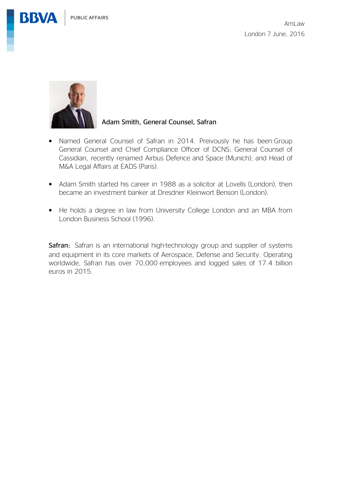PUBLIC AFFAIRS

**BBVA** 





#### Adam Smith, General Counsel, Safran

- Named General Counsel of Safran in 2014. Preivously he has been:Group General Counsel and Chief Compliance Officer of DCNS; General Counsel of Cassidian, recently renamed Airbus Defence and Space (Munich); and Head of M&A Legal Affairs at EADS (Paris).
- Adam Smith started his career in 1988 as a solicitor at Lovells (London), then became an investment banker at Dresdner Kleinwort Benson (London).
- He holds a degree in law from University College London and an MBA from London Business School (1996).

Safran: Safran is an international high-technology group and supplier of systems and equipment in its core markets of Aerospace, Defense and Security. Operating worldwide, Safran has over 70,000 employees and logged sales of 17.4 billion euros in 2015.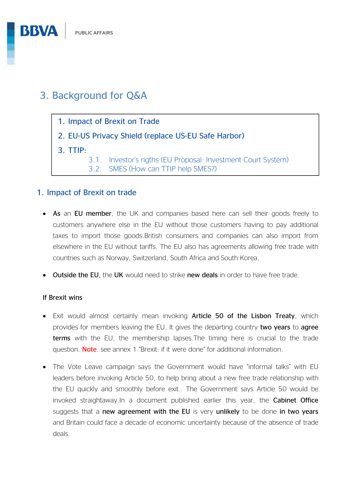# 3. Background for Q&A

- 1. Impact of Brexit on Trade
- 2. EU-US Privacy Shield (replace US-EU Safe Harbor)
- 3. TTIP:
	- 3.1. Investor's rigths (EU Proposal: Investment Court System)
	- 3.2. SMES (How can TTIP help SMES?)

### 1. Impact of Brexit on trade

- As an EU member, the UK and companies based here can sell their goods freely to customers anywhere else in the EU without those customers having to pay additional taxes to import those goods.British consumers and companies can also import from elsewhere in the EU without tariffs. The EU also has agreements allowing free trade with countries such as Norway, Switzerland, South Africa and South Korea.
- Outside the EU, the UK would need to strike new deals in order to have free trade.

#### If Brexit wins

- Exit would almost certainly mean invoking Article 50 of the Lisbon Treaty, which provides for members leaving the EU. It gives the departing country two years to agree terms with the EU, the membership lapses.The timing here is crucial to the trade question. Note: see annex 1 "Brexit: if it were done" for additional information.
- The Vote Leave campaign says the Government would have "informal talks" with EU leaders before invoking Article 50, to help bring about a new free trade relationship with the EU quickly and smoothly before exit.. The Government says Article 50 would be invoked straightaway.In a document published earlier this year, the Cabinet Office suggests that a new agreement with the EU is very unlikely to be done in two years and Britain could face a decade of economic uncertainty because of the absence of trade deals.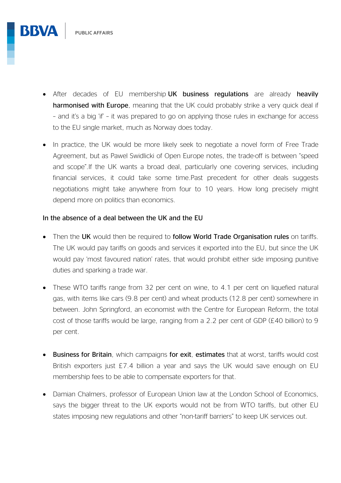- After decades of EU membership UK business regulations are already heavily harmonised with Europe, meaning that the UK could probably strike a very quick deal if – and it's a big 'if' – it was prepared to go on applying those rules in exchange for access to the EU single market, much as Norway does today.
- In practice, the UK would be more likely seek to negotiate a novel form of Free Trade Agreement, but as Pawel Swidlicki of Open Europe notes, the trade-off is between "speed and scope".If the UK wants a broad deal, particularly one covering services, including financial services, it could take some time.Past precedent for other deals suggests negotiations might take anywhere from four to 10 years. How long precisely might depend more on politics than economics.

#### In the absence of a deal between the UK and the EU

- Then the UK would then be required to follow World Trade Organisation rules on tariffs. The UK would pay tariffs on goods and services it exported into the EU, but since the UK would pay 'most favoured nation' rates, that would prohibit either side imposing punitive duties and sparking a trade war.
- These WTO tariffs range from 32 per cent on wine, to 4.1 per cent on liquefied natural gas, with items like cars (9.8 per cent) and wheat products (12.8 per cent) somewhere in between. John Springford, an economist with the Centre for European Reform, the total cost of those tariffs would be large, ranging from a 2.2 per cent of GDP (£40 billion) to 9 per cent.
- Business for Britain, which campaigns for exit, estimates that at worst, tariffs would cost British exporters just £7.4 billion a year and says the UK would save enough on EU membership fees to be able to compensate exporters for that.
- Damian Chalmers, professor of European Union law at the London School of Economics, says the bigger threat to the UK exports would not be from WTO tariffs, but other EU states imposing new regulations and other "non-tariff barriers" to keep UK services out.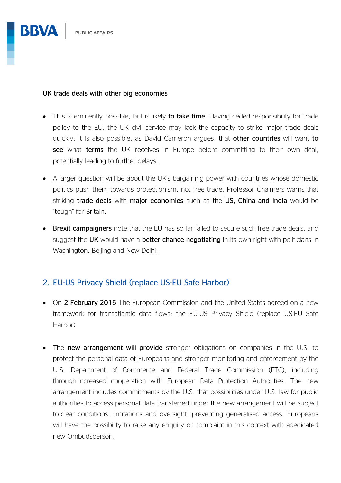

#### UK trade deals with other big economies

- This is eminently possible, but is likely to take time. Having ceded responsibility for trade policy to the EU, the UK civil service may lack the capacity to strike major trade deals quickly. It is also possible, as David Cameron argues, that other countries will want to see what terms the UK receives in Europe before committing to their own deal, potentially leading to further delays.
- A larger question will be about the UK's bargaining power with countries whose domestic politics push them towards protectionism, not free trade. Professor Chalmers warns that striking trade deals with major economies such as the US, China and India would be "tough" for Britain.
- Brexit campaigners note that the EU has so far failed to secure such free trade deals, and suggest the UK would have a better chance negotiating in its own right with politicians in Washington, Beijing and New Delhi.

## 2. EU-US Privacy Shield (replace US-EU Safe Harbor)

- On 2 February 2015 The European Commission and the United States agreed on a new framework for transatlantic data flows: the EU-US Privacy Shield (replace US-EU Safe Harbor)
- The new arrangement will provide stronger obligations on companies in the U.S. to protect the personal data of Europeans and stronger monitoring and enforcement by the U.S. Department of Commerce and Federal Trade Commission (FTC), including through increased cooperation with European Data Protection Authorities. The new arrangement includes commitments by the U.S. that possibilities under U.S. law for public authorities to access personal data transferred under the new arrangement will be subject to clear conditions, limitations and oversight, preventing generalised access. Europeans will have the possibility to raise any enquiry or complaint in this context with adedicated new Ombudsperson.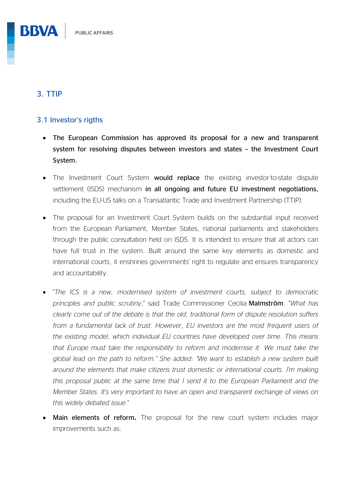## 3. TTIP

**BBVA** 

### 3.1 Investor's rigths

- The European Commission has approved its proposal for a new and transparent system for resolving disputes between investors and states – the Investment Court System.
- The Investment Court System would replace the existing investor-to-state dispute settlement (ISDS) mechanism in all ongoing and future EU investment negotiations, including the EU-US talks on a Transatlantic Trade and Investment Partnership (TTIP).
- The proposal for an Investment Court System builds on the substantial input received from the European Parliament, Member States, national parliaments and stakeholders through the public consultation held on ISDS. It is intended to ensure that all actors can have full trust in the system. Built around the same key elements as domestic and international courts, it enshrines governments' right to regulate and ensures transparency and accountability.
- "*The ICS is a new, modernised system of investment courts, subject to democratic principles and public scrutiny*," said Trade Commissioner Cecilia Malmström. "*What has clearly come out of the debate is that the old, traditional form of dispute resolution suffers from a fundamental lack of trust. However, EU investors are the most frequent users of the existing model, which individual EU countries have developed over time. This means that Europe must take the responsibility to reform and modernise it. We must take the global lead on the path to reform." She added: "We want to establish a new system built around the elements that make citizens trust domestic or international courts. I'm making this proposal public at the same time that I send it to the European Parliament and the Member States. It's very important to have an open and transparent exchange of views on this widely debated issue*."
- Main elements of reform**.** The proposal for the new court system includes major improvements such as: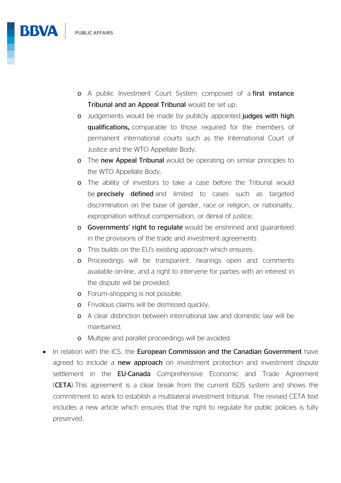

- o Judgements would be made by publicly appointed judges with high qualifications**,** comparable to those required for the members of permanent international courts such as the International Court of Justice and the WTO Appellate Body;
- o The new Appeal Tribunal would be operating on similar principles to the WTO Appellate Body;
- o The ability of investors to take a case before the Tribunal would be **precisely defined** and limited to cases such as targeted discrimination on the base of gender, race or religion, or nationality, expropriation without compensation, or denial of justice;
- o Governments' right to regulate would be enshrined and guaranteed in the provisions of the trade and investment agreements.
- o This builds on the EU's existing approach which ensures:
- o Proceedings will be transparent, hearings open and comments available on-line, and a right to intervene for parties with an interest in the dispute will be provided;
- o Forum–shopping is not possible;
- o Frivolous claims will be dismissed quickly;
- o A clear distinction between international law and domestic law will be maintained;
- o Multiple and parallel proceedings will be avoided.
- In relation with the ICS, the European Commission and the Canadian Government have agreed to include a new approach on investment protection and investment dispute settlement in the **EU-Canada** Comprehensive Economic and Trade Agreement (CETA).This agreement is a clear break from the current ISDS system and shows the commitment to work to establish a multilateral investment tribunal. The revised CETA text includes a new article which ensures that the right to regulate for public policies is fully preserved.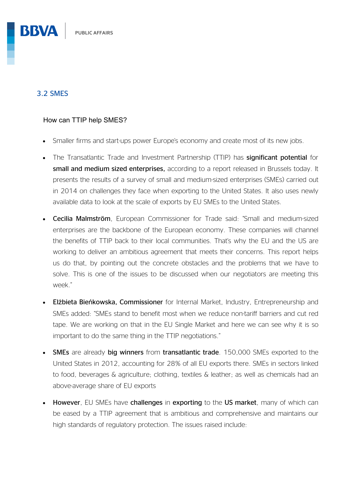## 3.2 SMES

**BBVA** 

#### How can TTIP help SMES?

- Smaller firms and start-ups power Europe's economy and create most of its new jobs.
- The Transatlantic Trade and Investment Partnership (TTIP) has significant potential for small and medium sized enterprises, according to a report released in Brussels today. It presents the results of a survey of small and medium-sized enterprises (SMEs) carried out in 2014 on challenges they face when exporting to the United States. It also uses newly available data to look at the scale of exports by EU SMEs to the United States.
- Cecilia Malmström, European Commissioner for Trade said: "Small and medium-sized enterprises are the backbone of the European economy. These companies will channel the benefits of TTIP back to their local communities. That's why the EU and the US are working to deliver an ambitious agreement that meets their concerns. This report helps us do that, by pointing out the concrete obstacles and the problems that we have to solve. This is one of the issues to be discussed when our negotiators are meeting this week."
- Elżbieta Bieńkowska, Commissioner for Internal Market, Industry, Entrepreneurship and SMEs added: "SMEs stand to benefit most when we reduce non-tariff barriers and cut red tape. We are working on that in the EU Single Market and here we can see why it is so important to do the same thing in the TTIP negotiations."
- SMEs are already big winners from transatlantic trade. 150,000 SMEs exported to the United States in 2012, accounting for 28% of all EU exports there. SMEs in sectors linked to food, beverages & agriculture; clothing, textiles & leather; as well as chemicals had an above-average share of EU exports
- However, EU SMEs have challenges in exporting to the US market, many of which can be eased by a TTIP agreement that is ambitious and comprehensive and maintains our high standards of regulatory protection. The issues raised include: